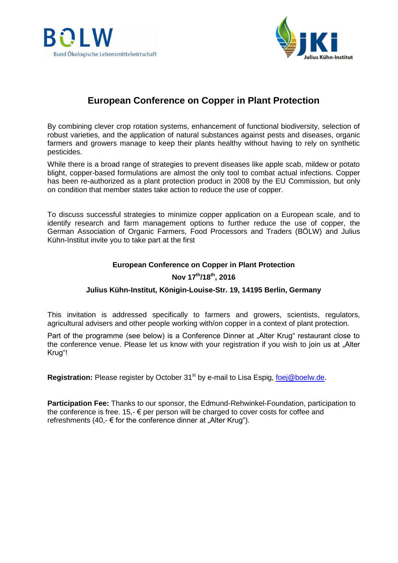



# **European Conference on Copper in Plant Protection**

By combining clever crop rotation systems, enhancement of functional biodiversity, selection of robust varieties, and the application of natural substances against pests and diseases, organic farmers and growers manage to keep their plants healthy without having to rely on synthetic pesticides.

While there is a broad range of strategies to prevent diseases like apple scab, mildew or potato blight, copper-based formulations are almost the only tool to combat actual infections. Copper has been re-authorized as a plant protection product in 2008 by the EU Commission, but only on condition that member states take action to reduce the use of copper.

To discuss successful strategies to minimize copper application on a European scale, and to identify research and farm management options to further reduce the use of copper, the German Association of Organic Farmers, Food Processors and Traders (BÖLW) and Julius Kühn-Institut invite you to take part at the first

### **European Conference on Copper in Plant Protection**

# **Nov 17th/18th, 2016**

### **Julius Kühn-Institut, Königin-Louise-Str. 19, 14195 Berlin, Germany**

This invitation is addressed specifically to farmers and growers, scientists, regulators, agricultural advisers and other people working with/on copper in a context of plant protection.

Part of the programme (see below) is a Conference Dinner at "Alter Krug" restaurant close to the conference venue. Please let us know with your registration if you wish to join us at "Alter Krug"!

**Registration:** Please register by October 31<sup>st</sup> by e-mail to Lisa Espig, [foej@boelw.de.](mailto:foej@boelw.de)

**Participation Fee:** Thanks to our sponsor, the Edmund-Rehwinkel-Foundation, participation to the conference is free. 15,- $\epsilon$  per person will be charged to cover costs for coffee and refreshments (40,-  $\epsilon$  for the conference dinner at "Alter Krug").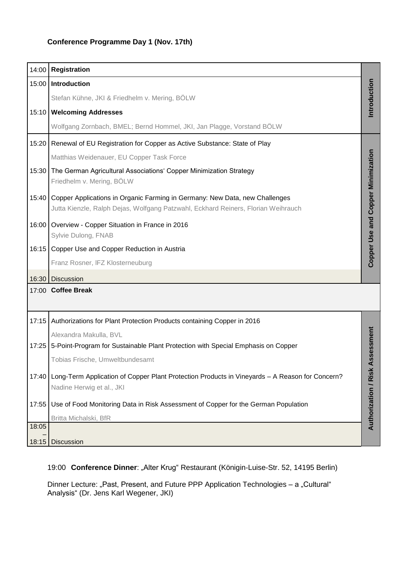# **Conference Programme Day 1 (Nov. 17th)**

|       | 14:00   Registration                                                                                                                                             |                                    |
|-------|------------------------------------------------------------------------------------------------------------------------------------------------------------------|------------------------------------|
|       | 15:00   Introduction                                                                                                                                             |                                    |
|       | Stefan Kühne, JKI & Friedhelm v. Mering, BÖLW                                                                                                                    | Introduction                       |
| 15:10 | <b>Welcoming Addresses</b>                                                                                                                                       |                                    |
|       | Wolfgang Zornbach, BMEL; Bernd Hommel, JKI, Jan Plagge, Vorstand BÖLW                                                                                            |                                    |
|       | 15:20 Renewal of EU Registration for Copper as Active Substance: State of Play                                                                                   |                                    |
|       | Matthias Weidenauer, EU Copper Task Force                                                                                                                        |                                    |
| 15:30 | The German Agricultural Associations' Copper Minimization Strategy<br>Friedhelm v. Mering, BÖLW                                                                  |                                    |
| 15:40 | Copper Applications in Organic Farming in Germany: New Data, new Challenges<br>Jutta Kienzle, Ralph Dejas, Wolfgang Patzwahl, Eckhard Reiners, Florian Weihrauch | Copper Use and Copper Minimization |
| 16:00 | Overview - Copper Situation in France in 2016<br>Sylvie Dulong, FNAB                                                                                             |                                    |
| 16:15 | Copper Use and Copper Reduction in Austria                                                                                                                       |                                    |
|       | Franz Rosner, IFZ Klosterneuburg                                                                                                                                 |                                    |
|       | 16:30   Discussion                                                                                                                                               |                                    |
|       | 17:00 Coffee Break                                                                                                                                               |                                    |
|       |                                                                                                                                                                  |                                    |
| 17:15 | Authorizations for Plant Protection Products containing Copper in 2016                                                                                           |                                    |
|       | Alexandra Makulla, BVL                                                                                                                                           | ssessment                          |
| 17:25 | 5-Point-Program for Sustainable Plant Protection with Special Emphasis on Copper                                                                                 |                                    |
|       | Tobias Frische, Umweltbundesamt                                                                                                                                  |                                    |
| 17:40 | Long-Term Application of Copper Plant Protection Products in Vineyards - A Reason for Concern?                                                                   |                                    |
|       | Nadine Herwig et al., JKI                                                                                                                                        |                                    |
| 17:55 | Use of Food Monitoring Data in Risk Assessment of Copper for the German Population                                                                               | <b>Authorization / Risk A</b>      |
|       | Britta Michalski, BfR                                                                                                                                            |                                    |
| 18:05 |                                                                                                                                                                  |                                    |
| 18:15 | <b>Discussion</b>                                                                                                                                                |                                    |

19:00 **Conference Dinner**: "Alter Krug" Restaurant (Königin-Luise-Str. 52, 14195 Berlin)

Dinner Lecture: "Past, Present, and Future PPP Application Technologies - a "Cultural" Analysis" (Dr. Jens Karl Wegener, JKI)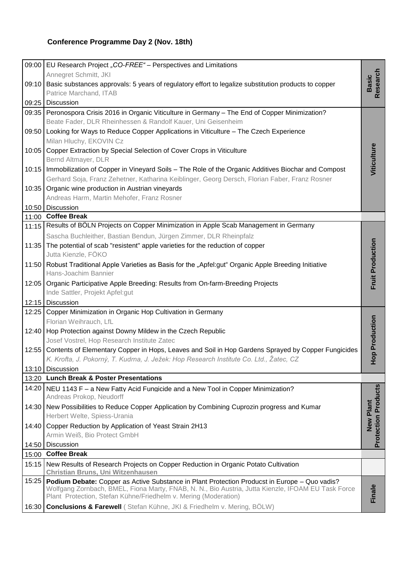# **Conference Programme Day 2 (Nov. 18th)**

|       | 09:00 EU Research Project "CO-FREE" – Perspectives and Limitations                                                                                                    |                            |
|-------|-----------------------------------------------------------------------------------------------------------------------------------------------------------------------|----------------------------|
|       | Annegret Schmitt, JKI                                                                                                                                                 | Research                   |
|       | 09:10 Basic substances approvals: 5 years of regulatory effort to legalize substitution products to copper                                                            | <b>Basic</b>               |
|       | Patrice Marchand, ITAB                                                                                                                                                |                            |
| 09:25 | Discussion                                                                                                                                                            |                            |
|       | 09:35 Peronospora Crisis 2016 in Organic Viticulture in Germany - The End of Copper Minimization?                                                                     |                            |
|       | Beate Fader, DLR Rheinhessen & Randolf Kauer, Uni Geisenheim                                                                                                          |                            |
|       | 09:50 Looking for Ways to Reduce Copper Applications in Viticulture - The Czech Experience                                                                            |                            |
|       | Milan Hluchy, EKOVIN Cz                                                                                                                                               |                            |
| 10:05 | Copper Extraction by Special Selection of Cover Crops in Viticulture                                                                                                  |                            |
|       | Bernd Altmayer, DLR                                                                                                                                                   |                            |
|       | 10:15   Immobilization of Copper in Vineyard Soils - The Role of the Organic Additives Biochar and Compost                                                            | Viticulture                |
|       | Gerhard Soja, Franz Zehetner, Katharina Keiblinger, Georg Dersch, Florian Faber, Franz Rosner                                                                         |                            |
|       | 10:35   Organic wine production in Austrian vineyards                                                                                                                 |                            |
|       | Andreas Harm, Martin Mehofer, Franz Rosner                                                                                                                            |                            |
|       | 10:50   Discussion                                                                                                                                                    |                            |
|       | 11:00 Coffee Break                                                                                                                                                    |                            |
|       | 11:15   Results of BÖLN Projects on Copper Minimization in Apple Scab Management in Germany                                                                           |                            |
|       | Sascha Buchleither, Bastian Bendun, Jürgen Zimmer, DLR Rheinpfalz                                                                                                     |                            |
| 11:35 | The potential of scab "resistent" apple varieties for the reduction of copper                                                                                         |                            |
|       | Jutta Kienzle, FÖKO                                                                                                                                                   |                            |
| 11:50 | Robust Traditional Apple Varieties as Basis for the "Apfel:gut" Organic Apple Breeding Initiative                                                                     |                            |
|       | Hans-Joachim Bannier                                                                                                                                                  |                            |
|       | 12:05   Organic Participative Apple Breeding: Results from On-farm-Breeding Projects                                                                                  | Fruit Production           |
|       | Inde Sattler, Projekt Apfel:gut                                                                                                                                       |                            |
|       | 12:15   Discussion                                                                                                                                                    |                            |
| 12:25 | Copper Minimization in Organic Hop Cultivation in Germany                                                                                                             |                            |
|       | Florian Weihrauch, LfL                                                                                                                                                |                            |
|       | 12:40   Hop Protection against Downy Mildew in the Czech Republic                                                                                                     | p Production               |
|       | Josef Vostrel, Hop Research Institute Zatec                                                                                                                           |                            |
|       | 12:55 Contents of Elementary Copper in Hops, Leaves and Soil in Hop Gardens Sprayed by Copper Fungicides                                                              |                            |
|       | K. Krofta, J. Pokorný, T. Kudrna, J. Ježek: Hop Research Institute Co. Ltd., Žatec, CZ                                                                                | 오                          |
| 13:10 | Discussion                                                                                                                                                            |                            |
|       | 13:20 Lunch Break & Poster Presentations                                                                                                                              |                            |
| 14:20 | NEU 1143 F - a New Fatty Acid Fungicide and a New Tool in Copper Minimization?                                                                                        | <b>Protection Products</b> |
|       | Andreas Prokop, Neudorff                                                                                                                                              |                            |
|       | 14:30   New Possibilities to Reduce Copper Application by Combining Cuprozin progress and Kumar                                                                       |                            |
|       | Herbert Welte, Spiess-Urania                                                                                                                                          | <b>New Plant</b>           |
|       | 14:40   Copper Reduction by Application of Yeast Strain 2H13                                                                                                          |                            |
|       | Armin Weiß, Bio Protect GmbH                                                                                                                                          |                            |
| 14:50 | <b>Discussion</b>                                                                                                                                                     |                            |
|       | 15:00 Coffee Break                                                                                                                                                    |                            |
|       | 15:15 New Results of Research Projects on Copper Reduction in Organic Potato Cultivation<br>Christian Bruns, Uni Witzenhausen                                         |                            |
| 15:25 | Podium Debate: Copper as Active Substance in Plant Protection Producst in Europe - Quo vadis?                                                                         |                            |
|       | Wolfgang Zornbach, BMEL, Fiona Marty, FNAB, N. N., Bio Austria, Jutta Kienzle, IFOAM EU Task Force<br>Plant Protection, Stefan Kühne/Friedhelm v. Mering (Moderation) | Finale                     |
|       | <b>Conclusions &amp; Farewell</b> (Stefan Kühne, JKI & Friedhelm v. Mering, BOLW)                                                                                     |                            |
| 16:30 |                                                                                                                                                                       |                            |